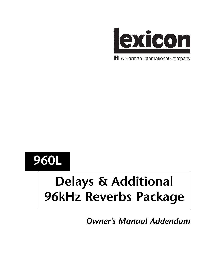

H A Harman International Company

## **960L**

# **Delays & Additional 96kHz Reverbs Package**

*Owner's Manual Addendum*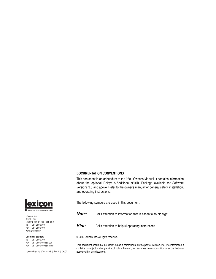#### **DOCUMENTATION CONVENTIONS**

This document is an addendum to the 960L Owner's Manual. It contains information about the optional Delays & Additional 96kHz Package available for Software Versions 3.0 and above. Refer to the owner's manual for general safety, installation, and operating instructions.



The following symbols are used in this document:

**Note:** Calls attention to information that is essential to highlight.

**Hint:** Calls attention to helpful operating instructions.

© 2002 Lexicon, Inc. All rights reserved.

This document should not be construed as a commitment on the part of Lexicon, Inc. The information it contains is subject to change without notice. Lexicon, Inc. assumes no responsibility for errors that may appear within this document.



Lexicon, Inc. 3 Oak Park Bedford, MA 01730-1441 USA Tel 781-280-0300 Fax 781-280-0490 www.lexicon.com

#### **Customer Support**

Tel 781-280-0300 Fax 781-280-0495 (Sales) Fax 781-280-0499 (Service)

Lexicon Part No. 070-14825 | Rev 1 | 06/02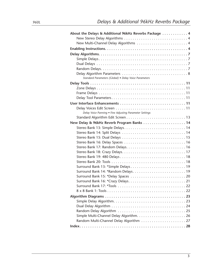| About the Delays & Additional 96kHz Reverbs Package  4  |  |
|---------------------------------------------------------|--|
|                                                         |  |
| New Multi-Channel Delay Algorithms  4                   |  |
|                                                         |  |
|                                                         |  |
|                                                         |  |
|                                                         |  |
|                                                         |  |
| Standard Parameters (Global) · Delay Voice Parameters   |  |
|                                                         |  |
|                                                         |  |
|                                                         |  |
|                                                         |  |
|                                                         |  |
|                                                         |  |
| Delay Voice Panning . Fine Adjusting Parameter Settings |  |
|                                                         |  |
| New Delay & 96kHz Reverb Program Banks  14              |  |
| Stereo Bank 13: Simple Delays 14                        |  |
|                                                         |  |
|                                                         |  |
|                                                         |  |
|                                                         |  |
|                                                         |  |
|                                                         |  |
|                                                         |  |
|                                                         |  |
|                                                         |  |
|                                                         |  |
|                                                         |  |
|                                                         |  |
|                                                         |  |
|                                                         |  |
|                                                         |  |
|                                                         |  |
|                                                         |  |
| Random Multi-Channel Delay Algorithm  27                |  |
|                                                         |  |
|                                                         |  |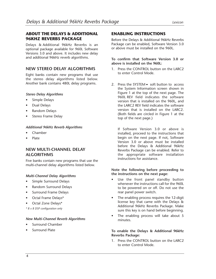#### **ABOUT THE DELAYS & ADDITIONAL 96KHZ REVERBS PACKAGE**

Delays & Additional 96kHz Reverbs is an optional package available for 960L Software Versions 3.0 and above. It includes new delay and additional 96kHz reverb algorithms.

#### **NEW STEREO DELAY ALGORITHMS**

Eight banks contain new programs that use the stereo delay algorithms listed below. Another bank contains 480L delay programs.

#### *Stereo Delay Algorithms*

- Simple Delays
- Dual Delays
- Random Delays
- Stereo Frame Delay

#### *Additional 96kHz Reverb Algorithms*

- Chamber
- Plate

#### **NEW MULTI-CHANNEL DELAY ALGORITHMS**

Five banks contain new programs that use the multi-channel delay algorithms listed below.

#### *Multi-Channel Delay Algorithms*

- Simple Surround Delays
- Random Surround Delays
- Surround Frame Delays
- Octal Frame Delays\*
- Octal Zone Delays\*
- *\* 8 x 8 DSP configuration only*

#### *New Multi-Channel Reverb Algorithms*

- Surround Chamber
- Surround Plate

#### **ENABLING INSTRUCTIONS**

Before the Delays & Additional 96kHz Reverbs Package can be enabled, Software Version 3.0 or above must be installed on the 960L.

#### **To confirm that Software Version 3.0 or above is installed on the 960L:**

- 1. Press the CONTROL button on the LARC2 to enter Control Mode.
- 2. Press the SYSTEM  $\blacktriangledown$  soft button to access the System Information screen shown in Figure 1 at the top of the next page. The 960L REV field indicates the software version that is installed on the 960L, and the LARC2 REV field indicates the software version that is installed on the LARC2. (Both fields are circled in Figure 1 at the top of the next page.)

If Software Version 3.0 or above is installed, proceed to the instructions that begin on the next page. If not, Software Version 3.0 or above must be installed before the Delays & Additional 96kHz Reverbs Package can be enabled. Refer to the appropriate software installation instructions for assistance.

#### **Note the following before proceeding to the instructions on the next page:**

- Use the front panel standby button whenever the instructions call for the 960L to be powered on or off. Do not use the rear panel power switch.
- The enabling process requires the 12-digit license key that came with the Delays & Additional 96kHz Reverbs Package. Make sure this key is on hand before beginning.
- The enabling process will take about 5 minutes.

#### **To enable the Delays & Additional 96kHz Reverbs Package:**

1. Press the CONTROL button on the LARC2 to enter Control Mode.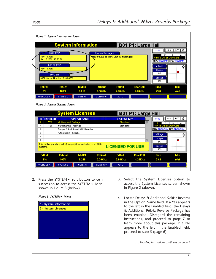

2. Press the SYSTEM  $\blacktriangleright$  soft button twice in succession to access the SYSTEM $\blacktriangledown$  Menu shown in Figure 3 (below).





- 3. Select the System Licenses option to access the System Licenses screen shown in Figure 2 (above).
- 4. Locate Delays & Additional 96kHz Reverbs in the Option Name field. If a Yes appears to the left in the Enabled field, the Delays & Additional 96kHz Reverbs Package has been enabled. Disregard the remaining instructions, and proceed to page 7 to learn more about this package. If a No appears to the left in the Enabled field, proceed to step 5 (page 6).

*. . . Enabling Instructions continues on page 6*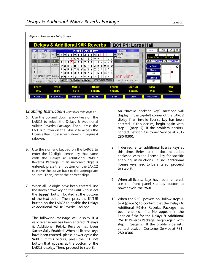

#### *Enabling Instructions (continued from page 5)*

- 5. Use the up and down arrow keys on the LARC2 to select the Delays & Additional 96kHz Reverbs Package. Then, press the ENTER button on the LARC2 to access the License Key Entry screen shown in Figure 4 (above).
- 6. Use the numeric keypad on the LARC2 to enter the 12-digit license key that came with the Delays & Additional 96kHz Reverbs Package. If an incorrect digit is entered, press the – button on the LARC2 to move the cursor back to the appropriate square. Then, enter the correct digit.
- 7. When all 12 digits have been entered, use the down arrow key on the LARC2 to select the  $\sqrt{\text{save}}$  button located at the bottom of the text editor. Then, press the ENTER button on the LARC2 to enable the Delays & Additional 96kHz Reverbs Package.

The following message will display if a valid license key has been entered: "Delays & Additional 96kHz Reverbs has been Successfully Enabled! When all license keys have been entered, please power cycle the 960L." If this occurs, press the OK soft button that appears at the bottom of the LARC2 display. Then, proceed to step 8.

An "Invalid package key" message will display in the top-left corner of the LARC2 diplay if an invalid license key has been entered. If this occurs, begin again with step 1 (page 5). If the problem persists, contact Lexicon Customer Service at 781- 280-0300.

- 8. If desired, enter additional license keys at this time. Refer to the documentation enclosed with the license key for specific enabling instructions. If no additional license keys need to be entered, proceed to step 9.
- 9. When all license keys have been entered, use the front panel standby button to power cycle the 960L.
- 10. When the 960L powers on, follow steps 1 to 4 (page 5) to confirm that the Delays & Additional 96kHz Reverbs Package has been enabled. If a No appears in the Enabled field for the Delays & Additional 96kHz Reverbs Package, begin again with step 1 (page 5). If the problem persists, contact Lexicon Customer Service at 781- 280-0300.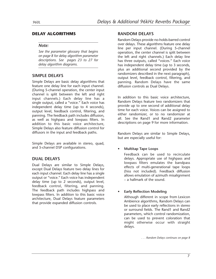#### **DELAY ALGORITHMS**

#### *Note:*

*See the parameter glossary that begins on page 8 for delay algorithm parameter descriptions. See pages 23 to 27 for delay algorithm diagrams.*

#### **SIMPLE DELAYS**

Simple Delays are basic delay algorithms that feature one delay line for each input channel. (During 5-channel operation, the center input channel is split between the left and right input channels.) Each delay line has a single output, called a "voice." Each voice has independent delay time (up to 4 seconds), output level, feedback control, filtering, and panning. The feedback path includes diffusion, as well as highpass and lowpass filters. In addition to this basic voice architecture, Simple Delays also feature diffusion control for diffusors in the input and feedback paths.

Simple Delays are available in stereo, quad, and 5-channel DSP configurations.

#### **DUAL DELAYS**

Dual Delays are similar to Simple Delays, except Dual Delays feature two delay lines for each input channel. Each delay line has a single output or "voice." Each voice has independent delay time (up to 2 seconds), output level, feedback control, filtering, and panning. The feedback path includes highpass and lowpass filters. In addition to this basic voice architecture, Dual Delays feature parameters that provide expanded diffusion controls.

#### **RANDOM DELAYS**

Random Delays provide no-holds-barred control over delays. These algorithms feature one delay line per input channel. (During 5-channel operation, the center channel is split between the left and right channels.) Each delay line has three outputs, called "voices." Each voice has independent delay time (up to 3 seconds, plus an additional second provided by the randomizers described in the next paragraph), output level, feedback control, filtering, and panning. Random Delays have the same diffusion controls as Dual Delays.

In addition to this basic voice architecture, Random Delays feature two randomizers that provide up to one second of additional delay time for each voice. Voices can be assigned to either randomizer, or to no randomizer at all. See the Rand1 and Rand2 parameter descriptions on page 9 for more information.

Random Delays are similar to Simple Delays, but are especially useful for:

#### • **Multitap Tape Loops**

Feedback can be used to recirculate delays. Appropriate use of highpass and lowpass filters emulates the bandpass effects of multi-generational tape loops (hiss not included). Feedback diffusion allows emulation of azimuth misalignment – a hallmark of the sound.

#### • **Early Reflection Modeling**

Although different in scope from Lexicon Ambience algorithms, Random Delays can be used to place early reflections in stereo or surround fields. The Rand1 and Rand2 parameters, which control randomization, can be used to prevent coloration that might otherwise occur with straight delays.

*. . . Random Delays continues on page 8*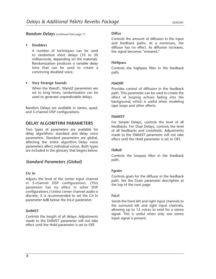#### *Random Delays (continued from page 7)*

#### • **Doublers**

A number of techniques can be used to randomize short delays (10 to 50 milliseconds, depending on the material). Randomization produces a variable delay time that can be used to create a convincing doubled voice.

#### • **Very Strange Sounds**

When the Wand1, Wand2 parameters are set to long times, randomization can be used to generate unpredictable delays.

Random Delays are available in stereo, quad, and 5-channel DSP configurations.

#### **DELAY ALGORITHM PARAMETERS**

Two types of parameters are available for delay algorithms: standard and delay voice parameters. Standard parameters are global, affecting the entire algorithm. Delay voice parameters affect individual voices. Both types are included in the glossary that begins below.

#### *Standard Parameters (Global)*

#### **Ctr In**

Adjusts the level of the center input channel in 5-channel DSP configurations. (This parameter has no effect in other DSP configurations.) Unless center channel audio is discrete, it is recommended to set the Ctr In parameter 6dB below the InLvl parameter.

#### **DelMST**

Controls the length of all delays. Adjustments made to the DelMST parameter will not take effect until the Hold parameter is set to OFF.

#### **Diffus**

Controls the amount of diffusion in the input and feedback paths. At a minimum, the diffusor has no effect. As diffusion increases, the signal becomes "smeared."

#### **FbHipass**

Controls the highpass filter in the feedback path.

#### **FbkDiff**

Provides control of diffusion in the feedback path. This parameter can be used to create the effect of looping echoes fading into the background, which is useful when modeling tape loops and other effects.

#### **FbkMST**

For Simple Delays, controls the level of all feedbacks. For Dual Delays, controls the level of all feedbacks and crossfeeds. Adjustments made to the FbkMST parameter will not take effect until the Hold parameter is set to OFF.

#### **FbRoll**

Controls the lowpass filter in the feedback path.

#### **Fgrain**

Controls grain for the diffusor in the feedback path. See the Grain parameter description at the top of the next page.

#### **FsLvl**

Sends the front left and right input channels to the surround left and right input channels, allowing up to 12 voices to exist for a stereo signal. This is useful when only one stereo input signal is present.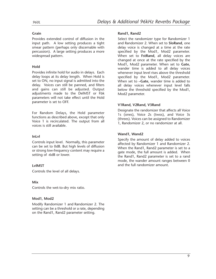#### **Grain**

Provides extended control of diffusion in the input path. A low setting produces a tight smear pattern (perhaps only discernable with percussion). A large setting produces a more widespread pattern.

#### **Hold**

Provides infinite hold for audio in delays. Each delay loops at its delay length. When Hold is set to ON, no input signal is admitted into the delay. Voices can still be panned, and filters and gains can still be adjusted. Output adjustments made to the DelMST or Fbk parameters will not take effect until the Hold parameter is set to OFF.

For Random Delays, the Hold parameter functions as described above, except that only Voice 1 is recirculated. The output from all voices is still available.

#### **InLvl**

Controls input level. Normally, this parameter can be set to 0dB. But high levels of diffusion or strong low-frequency content may require a setting of -6dB or lower.

#### **LvlMST**

Controls the level of all delays.

#### **Mix**

Controls the wet-to-dry mix ratio.

#### **Mod1, Mod2**

Modify Randomizer 1 and Randomizer 2. The setting can be a threshold or a rate, depending on the Rand1, Rand2 parameter setting.

#### **Rand1, Rand2**

Select the randomizer type for Randomizer 1 and Randomizer 2. When set to **SloRand**, one delay voice is changed at a time at the rate specified by the Mod1, Mod2 parameter. When set to **FstRand**, all delay voices are changed at once at the rate specified by the Mod1, Mod2 parameter. When set to **Gate**, wander time is added to all delay voices whenever input level rises above the threshold specified by the Mod1, Mod2 parameter. When set to **–Gate**, wander time is added to all delay voices whenever input level falls below the threshold specified by the Mod1, Mod2 parameter.

#### **V1Rand, V2Rand, V3Rand**

Designate the randomizer that affects all Voice 1s (ones), Voice 2s (twos), and Voice 3s (threes). Voices can be assigned to Randomizer 1, Randomizer 2, or no randomizer at all.

#### **Wand1, Wand2**

Specify the amount of delay added to voices affected by Randomizer 1 and Randomizer 2. When the Rand1, Rand2 parameter is set to a gate mode, the full amount is added. When the Rand1, Rand2 parameter is set to a rand mode, the wander amount ranges between 0 and the full randomizer amount.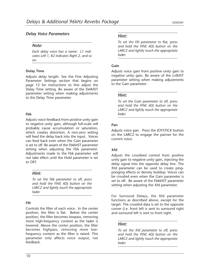#### *Delay Voice Parameters*

#### *Note:*

*Each delay voice has a name: L1 indicates Left 1, R2 indicates Right 2, and so on.*

#### **Delay Time**

Adjusts delay length. See the Fine Adjusting Parameter Settings section that begins on page 12 for instructions to fine adjust the Delay Time setting. Be aware of the DelMST parameter setting when making adjustments to the Delay Time parameter.

#### **Fbk**

Adjusts voice feedback from positive unity gain to negative unity gain, although full-scale will probably cause accumulation or saturation, which creates distortion. A non-zero setting will feed the delay back into the input. Voices can feed back even when the Gain parameter is set to off. Be aware of the FbkMST parameter setting when adjusting the Fbk parameter. Adjustments made to the Fbk parameter will not take effect until the Hold parameter is set to OFF.

#### *Hint:*

*To set the Fbk parameter to off, press and hold the FINE ADJ button on the LARC2 and lightly touch the appropriate fader.*

#### **Filt**

Controls the filter of each voice. In the center position, the filter is flat. Below the center position, the filter becomes lowpass, removing more high-frequency content as the fader is lowered. Above the center position, the filter becomes highpass, removing more lowfrequency content as the filter is raised. This parameter only affects voice output, not feedback.

#### *Hint:*

*To set the Filt parameter to flat, press and hold the FINE ADJ button on the LARC2 and lightly touch the appropriate fader.*

#### **Gain**

Adjusts voice gain from positive unity gain to negative unity gain. Be aware of the LvlMST parameter setting when making adjustments to the Gain parameter.

#### *Hint:*

*To set the Gain parameter to off, press and hold the FINE ADJ button on the LARC2 and lightly touch the appropriate fader.*

#### **Pan**

Adjusts voice pan. Press the JOYSTICK button on the LARC2 to engage the panner for the current voice.

#### **Xfd**

Adjusts the crossfeed control from positive unity gain to negative unity gain, injecting the delay signal into the opposite delay line. The Xfd parameter can be used to create pingponging effects or density buildup. Voices can be crossfed even when the Gain parameter is set to off. Be aware of the FbkMST parameter setting when adjusting the Xfd parameter.

For Surround Delays, the Xfd parameter functions as described above, except for the target. The crossfed data is set to the opposite corner (i.e. front left is sent to surround right and surround left is sent to front right.

#### *Hint:*

*To set the Xfd parameter to off, press and hold the FINE ADJ button on the LARC2 and lightly touch the appropriate fader.*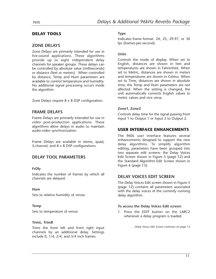#### **DELAY TOOLS**

#### **ZONE DELAYS**

Zone Delays are primarily intended for use in live-sound applications. These algorithms provide up to eight independent delay channels for speaker groups. These delays can be controlled by absolute value (milliseconds) or distance (feet or meters). When controlled by distance, Temp and Hum parameters are available to control temperature and humidity. No additional signal processing occurs inside the algorithm.

Zone Delays require 8 x 8 DSP configuration.

#### **FRAME DELAYS**

Frame Delays are primarily intended for use in video post-production applications. These algorithms allow delays in audio to maintain audio-video synchronization.

Frame Delays are available in stereo, quad, 5-channel, and 8 x 8 DSP configurations.

#### **DELAY TOOL PARAMETERS**

#### **FrDly**

Indicates the number of frames by which all channels are delayed.

#### **Hum**

Sets to relative humidity of venue.

#### **Temp**

Sets to temperature of venue.

#### **TrimL, TrimR**

Trims the front left and front right input channels by an additional delay. Settings include 0, 1/4, 2/4, and 3/4 inch frames.

#### **Type**

Indicates frame format: 24, 25, 29.97, or 30 fps (frames-per-second).

#### **Units**

Controls the mode of display. When set to English, distances are shown in feet and temperatures are shown in Fahrenheit. When set to Metric, distances are shown in meters and temperatures are shown in Celsius. When set to Time, distances are shown in absolute time; the Temp and Hum parameters are not affected. When the setting is changed, the unit automatically converts English values to metric values and vice versa.

#### **Zone1, Zone2**

Controls delay time for the signal passing from Input 1 to Output 1 or Input 2 to Output 2.

#### **USER INTERFACE ENHANCEMENTS**

The 960L user interface features several enhancements designed to support the new delay algorithms. To simplify algorithm editing, parameters have been grouped into two separate edit screens: the Delay Voices Edit Screen shown in Figure 5 (page 12) and the Standard Algorithm Edit Screen shown in Figure 6 (page 13).

#### **DELAY VOICES EDIT SCREEN**

The Delay Voices Edit screen shown in Figure 5 (page 12) contains all parameters associated with the delay voices of the currently running delay algorithm.

#### **To access the Delay Voices Edit screen:**

1. Press the EDIT button on the LARC2 whenever a delay program is loaded.

*. . . Delay Voices Edit Screen continues on page 12*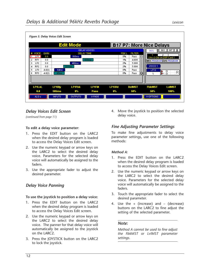|                      |           |        | <b>Edit Mode</b>  |                     |        |             | <b>B17 P7: More Nice Delays</b> |               |                                |
|----------------------|-----------|--------|-------------------|---------------------|--------|-------------|---------------------------------|---------------|--------------------------------|
|                      |           |        |                   | <b>DELAY VOICES</b> |        |             |                                 | 960L          | √ĝr<br>96K<br>INT              |
| <b>VOICE</b>         | GAIN      |        | <b>DELAY TIME</b> |                     |        | <b>FBKL</b> | <b>FILTER</b>                   |               | 2                              |
| LF <sub>1</sub>      | 0.0       |        | 505ms             |                     |        | 0%          | Pass                            |               | 2-In x 2-Out on DSP Card 1     |
| RF1<br>2             | 0.0       |        |                   | 835ms               |        | 1%          | 4.60K                           |               | <b>MIX:PROGRAM ITO:PROGRAM</b> |
| LF <sub>2</sub><br>3 | 0.0       |        | 488ms             |                     |        | 2%          | 5.00K                           |               |                                |
| RF <sub>2</sub><br>4 | 0.0       |        | 311ms             |                     |        | 2%          | 5.00K                           | VOICE 1       |                                |
| LF3<br>5             | $-4.0(1)$ | 64ms   |                   |                     |        | 0%          | Pass                            | LF1X          |                                |
| 6<br>RF3             | $-4.0(1)$ | 47ms   |                   |                     |        | 0%          | ₩<br>Pass                       |               | ⊈≟∦<br>ίR                      |
|                      |           |        |                   |                     |        |             |                                 |               |                                |
| <b>LF1LvL</b>        |           | LF1Dly | <b>LF1Fbk</b>     | <b>LF1Filt</b>      | LF1Xfd |             | <b>DeIMST</b>                   | <b>FbkMST</b> | <b>LvIMST</b>                  |
| 0.0                  |           | 505ms  | 0%                | Pass                | 0%     |             | 50%                             | 50%           | 100%                           |

#### *Delay Voices Edit Screen*

*(continued from page 11)*

#### **To edit a delay voice parameter:**

- 1. Press the EDIT button on the LARC2 when the desired delay program is loaded to access the Delay Voices Edit screen.
- 2. Use the numeric keypad or arrow keys on the LARC2 to select the desired delay voice. Parameters for the selected delay voice will automatically be assigned to the faders.
- 3. Use the appropriate fader to adjust the desired parameter.

#### *Delay Voice Panning*

#### **To use the joystick to position a delay voice:**

- 1. Press the EDIT button on the LARC2 when the desired delay program is loaded to access the Delay Voices Edit screen.
- 2. Use the numeric keypad or arrow keys on the LARC2 to select the desired delay voice. The panner for that delay voice will automatically be assigned to the joystick on the LARC2.
- 3. Press the JOYSTICK button on the LARC2 to lock the joystick.

4. Move the joystick to position the selected delay voice.

#### *Fine Adjusting Parameter Settings*

To make fine adjustments to delay voice parameter settings, use one of the following methods:

#### *Method A:*

- 1. Press the EDIT button on the LARC2 when the desired delay program is loaded to access the Delay Voices Edit screen.
- 2. Use the numeric keypad or arrow keys on the LARC2 to select the desired delay voice. Parameters for the selected delay voice will automatically be assigned to the faders.
- 3. Touch the appropriate fader to select the desired parameter.
- 4. Use the  $+$  (increase) and  $-$  (decrease) buttons on the LARC2 to fine adjust the setting of the selected parameter.

#### *Note:*

*Method A cannot be used to fine adjust the FbkMST or LvlMST parameter settings.*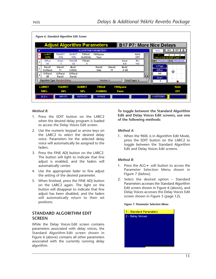|   | Figure 6: Standard Algorithm Edit Screen |                      |                       |                    |                                    |             |                 |                |                                 |                                  |
|---|------------------------------------------|----------------------|-----------------------|--------------------|------------------------------------|-------------|-----------------|----------------|---------------------------------|----------------------------------|
|   |                                          |                      |                       |                    | <b>Adjust Algorithm Parameters</b> |             |                 |                | <b>B17 P7: More Nice Delays</b> |                                  |
| # |                                          |                      |                       |                    | <b>ALGORITHM PARAMETERS</b>        |             |                 |                | 960L                            | INT<br>⋒<br>96 K                 |
|   | <b>LyIMST</b><br>100%                    | <b>FbkMST</b><br>50% | <b>Del MST</b><br>50% | FBRoll<br>24.00KHz | FBHipass<br>Pass                   |             |                 | Hold<br>OFF    |                                 | 3<br>2-In x 2-Out on DSP Card 1  |
|   | <b>Diffus</b><br>141                     | Grain                | <b>FbkDiff</b><br>64  | <b>FGrain</b>      |                                    |             | InLyl<br>$-6.0$ | Mix<br>Wet     |                                 | <b>MIX: PROGRAM TIO: PROGRAM</b> |
|   | Rand1<br>SloRand                         | Wand1<br>11          | Mod1<br>$0.60$ Hz     |                    | Rand2<br>Gate                      | Wand2<br>15 | Mod2<br>$-8$ dB |                | V-Page<br><b>Diffus</b>         |                                  |
|   | V1 Rand<br>Off                           | V2Rand<br>Rand1      | V3Rand<br>Rand2       |                    |                                    |             |                 |                | 141<br>Grain                    |                                  |
|   | Algorithm Type: Random Delay             |                      |                       |                    | Version: 4                         |             |                 | Total Pages: 4 |                                 |                                  |
|   | LuIMST                                   | <b>FbkMST</b>        |                       | <b>DeIMST</b>      | <b>FBRoll</b>                      |             | <b>FBHipass</b> |                |                                 | Hold                             |
|   | 100%                                     | 50%                  |                       | 50%                | 24.00KHz                           |             | Pass            |                |                                 | <b>OFF</b>                       |
|   | ALG v                                    | <b>INPUTS</b>        |                       | <b>OUTPUTS</b>     | <b>V-PAGE</b>                      |             |                 |                | >>OPTIONS                       |                                  |

#### *Method B:*

- 1. Press the EDIT button on the LARC2 when the desired delay program is loaded to access the Delay Voices Edit screen.
- 2. Use the numeric keypad or arrow keys on the LARC2 to select the desired delay voice. Parameters for the selected delay voice will automatically be assigned to the faders.
- 3. Press the FINE ADJ button on the LARC2. The button will light to indicate that fine adjust is enabled, and the faders will automatically center.
- 4. Use the appropriate fader to fine adjust the setting of the desired parameter.
- 5. When finished, press the FINE ADJ button on the LARC2 again. The light on the button will disappear to indicate that fine adjust has been disabled, and the faders will automatically return to their set positions.

#### **STANDARD ALGORITHM EDIT SCREEN**

While the Delay Voices Edit screen contains parameters associated with delay voices, the Standard Algorithm Edit screen shown in Figure 6 (above) contains all other parameters associated with the currently running delay algorithm.

**To toggle between the Standard Algorithm Edit and Delay Voices Edit screens, use one of the following methods:**

#### *Method A:*

1. When the 960L is in Algorithm Edit Mode, press the EDIT button on the LARC2 to toggle between the Standard Algorithm Edit and Delay Voices Edit screens.

#### *Method B:*

- 1. Press the ALG  $\bullet$  soft button to access the Parameter Selection Menu shown in Figure 7 (below).
- 2. Select the desired option Standard Parameters accesses the Standard Algorithm Edit screen shown in Figure 6 (above), and Delay Voices accesses the Delay Voices Edit screen shown in Figure 5 (page 12).

#### *Figure 7: Parameter Selection Menu*

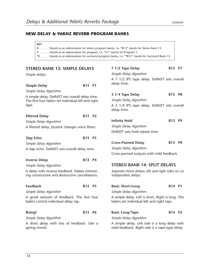### **NEW DELAY & 96KHZ REVERB PROGRAM BANKS**

| KEY                                                                                                        |
|------------------------------------------------------------------------------------------------------------|
| $\mid B, \ldots$ Stands as an abbreviation for stereo program banks, i.e. "B13" stands for Stereo Bank 13. |
| $\vert$ P Stands as an abbreviation for program, i.e. "P1" stands for Program 1.                           |
| $\mid$ *B  Stands as an abbreviation for surround program banks, i.e. "*B13" stands for Surround Bank 13.  |

| <b>STEREO BANK 13: SIMPLE DELAYS</b>                                                                            |            |                | 7 1/2 Tape Delay                                                                                         | B13 P7     |                |  |  |
|-----------------------------------------------------------------------------------------------------------------|------------|----------------|----------------------------------------------------------------------------------------------------------|------------|----------------|--|--|
| Simple delays                                                                                                   |            |                | Simple Delay Algorithm                                                                                   |            |                |  |  |
|                                                                                                                 |            |                | A 7 1/2 IPS tape delay. DelMST sets overall                                                              |            |                |  |  |
| <b>Simple Delay</b>                                                                                             | B13 P1     |                | delay time.                                                                                              |            |                |  |  |
| Simple Delay Algorithm                                                                                          |            |                |                                                                                                          |            |                |  |  |
| A simple delay. DelMST sets overall delay time.<br>The first four faders set individual left and right<br>taps. |            |                | 3 1/4 Tape Delay<br>Simple Delay Algorithm<br>A 3 1/4 IPS tape delay. DelMST sets overall<br>delay time. | B13 P8     |                |  |  |
| <b>Filtered Delay</b>                                                                                           | B13 P2     |                |                                                                                                          |            |                |  |  |
| Simple Delay Algorithm                                                                                          |            |                | <b>Infinite Hold</b>                                                                                     | <b>B13</b> | P <sub>9</sub> |  |  |
| A filtered delay. Joystick changes voice filters.                                                               |            |                | Simple Delay Algorithm<br>DelMST sets hold repeat time.                                                  |            |                |  |  |
| Slap Echo                                                                                                       | <b>B13</b> | P <sub>3</sub> |                                                                                                          |            |                |  |  |
| Simple Delay Algorithm                                                                                          |            |                | <b>Cross-Panned Delay</b>                                                                                | B13 PO     |                |  |  |
| A slap echo. DelMST sets overall delay time.                                                                    |            |                | Simple Delay Algorithm                                                                                   |            |                |  |  |
|                                                                                                                 |            |                | Cross-panned outputs with mild feedback.                                                                 |            |                |  |  |
| <b>Inverse Delay</b>                                                                                            | B13 P4     |                |                                                                                                          |            |                |  |  |
| Simple Delay Algorithm                                                                                          |            |                | <b>STEREO BANK 14: SPLIT DELAYS</b>                                                                      |            |                |  |  |
| A delay with inverse feedback. Makes interest-<br>ing constructive and destructive cancellations.               |            |                | Separate mono delays; left and right sides act as<br>independent delays                                  |            |                |  |  |
| <b>Feedback</b>                                                                                                 | B13 P5     |                | <b>Basic Short/Long</b>                                                                                  | B14 P1     |                |  |  |
| Simple Delay Algorithm                                                                                          |            |                | Simple Delay Algorithm                                                                                   |            |                |  |  |
| A good amount of feedback. The first four<br>faders control individual delay tap.                               |            |                | A simple delay. Left is short, Right is long. The<br>faders set individual left and right taps.          |            |                |  |  |
| <b>Boing!</b>                                                                                                   | B13 P6     |                | <b>Basic Long/Tape</b>                                                                                   | B14 P2     |                |  |  |
| Simple Delay Algorithm                                                                                          |            |                | Simple Delay Algorithm                                                                                   |            |                |  |  |
| A short delay with lots of feedback. Like a<br>spring reverb.                                                   |            |                | A simple delay. Left side is a long delay with<br>mild feedback. Right side is a tape-type delay.        |            |                |  |  |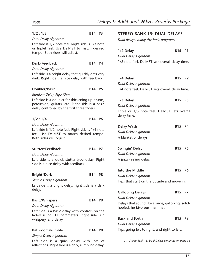| 1/2:1/3                                                                                                                                           | B14 P3        | <b>STEREO</b>                        |
|---------------------------------------------------------------------------------------------------------------------------------------------------|---------------|--------------------------------------|
| Dual Delay Algorithm                                                                                                                              |               | Dual delay                           |
| Left side is 1/2 note feel. Right side is 1/3 note<br>or triplet feel. Use DelMST to match desired<br>tempo. Both sides will adjust.              |               | 1/2 Delay<br>Dual Delay              |
| Dark/Feedback                                                                                                                                     | B14 P4        | $1/2$ note f                         |
| Dual Delay Algorithm                                                                                                                              |               |                                      |
| Left side is a bright delay that quickly gets very<br>dark. Right side is a nice delay with feedback.                                             |               | 1/4 Delay<br>Dual Delay              |
| Doubler/Basic                                                                                                                                     | <b>B14 P5</b> | $1/4$ note f                         |
| Random Delay Algorithm                                                                                                                            |               |                                      |
| Left side is a doubler for thickening up drums,<br>percussion, guitars, etc. Right side is a basic<br>delay controlled by the first three faders. |               | 1/3 Delay<br>Dual Delay<br>Triple or |
| 1/2:1/4                                                                                                                                           | B14 P6        | delay time                           |
| Dual Delay Algorithm                                                                                                                              |               |                                      |
| Left side is 1/2 note feel. Right side is 1/4 note<br>feel. Use DelMST to match desired tempo.<br>Both sides will adjust.                         |               | Delay Wa<br>Dual Delay<br>A blanket  |
| Stutter/Feedback                                                                                                                                  | B14 P7        | Swingin'                             |
| Dual Delay Algorithm                                                                                                                              |               | Dual Delay                           |
| Left side is a quick stutter-type delay. Right<br>side is a nice delay with feedback.                                                             |               | A jazzy-fee                          |
|                                                                                                                                                   |               | Into the N                           |
| <b>Bright/Dark</b>                                                                                                                                | <b>B14 P8</b> | Dual Delay                           |
| Simple Delay Algorithm                                                                                                                            |               | Taps that:                           |
| Left side is a bright delay; right side is a dark                                                                                                 |               |                                      |
| delay.                                                                                                                                            |               | Galloping                            |
|                                                                                                                                                   | B14 P9        | Dual Delay                           |
| <b>Basic/Whispers</b><br>Dual Delay Algorithm                                                                                                     |               | Delays tha                           |
| Left side is a basic delay with controls on the                                                                                                   |               | hoofed, he                           |
| faders using LF1 parameters. Right side is a                                                                                                      |               |                                      |
| whispery, airy delay.                                                                                                                             |               | <b>Back and</b>                      |
|                                                                                                                                                   |               | Dual Delay                           |
| Bathroom/Rumble                                                                                                                                   | <b>B14 PO</b> | Taps goine                           |
| Simple Delay Algorithm                                                                                                                            |               |                                      |
| Left side is a quick delay with lots of                                                                                                           |               | . Ster                               |

Left side is a quick delay with lots of reflections. Right side is a dark, rumbling delay.

#### **BANK 15: DUAL DELAYS**

*Dual delays, many rhythmic programs*

| 1/2 Delay            | <b>B15 P1</b> |  |
|----------------------|---------------|--|
| Dual Delay Algorithm |               |  |

feel. DelMST sets overall delay time.

**12 B15 P2** 

| Dual Delay Algorithm                                                             |        |                |
|----------------------------------------------------------------------------------|--------|----------------|
| 1/4 note feel. DelMST sets overall delay time.                                   |        |                |
|                                                                                  |        |                |
| 1/3 Delay                                                                        | B15    | P <sub>3</sub> |
| Dual Delay Algorithm                                                             |        |                |
| Triple or 1/3 note feel. DelMST sets overall<br>delay time.                      |        |                |
| Delay Wash                                                                       | B15    | P4             |
| Dual Delay Algorithm                                                             |        |                |
| A blanket of delays.                                                             |        |                |
|                                                                                  |        |                |
| Swingin' Delay                                                                   | B15    | P <sub>5</sub> |
| Dual Delay Algorithm                                                             |        |                |
| A jazzy-feeling delay.                                                           |        |                |
|                                                                                  |        |                |
| <b>Into the Middle</b>                                                           | B15 P6 |                |
| Dual Delay Algorithm                                                             |        |                |
| Taps that start on the outside and move in.                                      |        |                |
|                                                                                  |        |                |
| <b>Galloping Delays</b>                                                          | B15 P7 |                |
| Dual Delay Algorithm                                                             |        |                |
| Delays that sound like a large, galloping, solid-<br>hoofed, herbivorous mammal. |        |                |
| <b>Back and Forth</b>                                                            | B15    | P8             |
| Dual Delay Algorithm                                                             |        |                |
| Taps going left to right, and right to left.                                     |        |                |
|                                                                                  |        |                |
| Stereo Bank 15: Dual Delays continues on page 16                                 |        |                |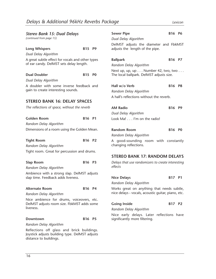| Stereo Bank 15: Dual Delays<br>(continued from page 15)                                                                |                                |                | <b>Sewer Pipe</b><br>Dual Delay Algo<br>DelMST adjust |
|------------------------------------------------------------------------------------------------------------------------|--------------------------------|----------------|-------------------------------------------------------|
| <b>Long Whispers</b>                                                                                                   | B15 P9                         |                | adjusts the len                                       |
| Dual Delay Algorithm                                                                                                   |                                |                |                                                       |
| A great subtle effect for vocals and other types<br>of ear candy. DelMST sets delay length.                            |                                |                | <b>Ballpark</b><br>Random Delay                       |
| <b>Dual Doubler</b>                                                                                                    | B15                            | P <sub>0</sub> | Next up, up, up<br>The local ballpa                   |
| Dual Delay Algorithm                                                                                                   |                                |                |                                                       |
| A doubler with some inverse feedback and<br>gain to create interesting sounds.                                         |                                |                | Hall w/o Verb<br>Random Delay<br>A hall's reflectio   |
| <b>STEREO BANK 16: DELAY SPACES</b>                                                                                    |                                |                |                                                       |
| The reflections of space, without the reverb                                                                           |                                |                | <b>AM Radio</b>                                       |
| <b>Golden Room</b>                                                                                                     | B16 P1                         |                | Dual Delay Algo<br>Look Ma! I'                        |
| Random Delay Algorithm                                                                                                 |                                |                |                                                       |
| Dimensions of a room using the Golden Mean.                                                                            |                                |                |                                                       |
|                                                                                                                        |                                |                | <b>Random Room</b><br>Random Delay                    |
| <b>Tight Room</b>                                                                                                      | B16 P2                         |                | A good-sound                                          |
| Random Delay Algorithm                                                                                                 |                                |                | changing refled                                       |
| Tight room. Great for percussion and drums.                                                                            |                                |                |                                                       |
|                                                                                                                        |                                |                | <b>STEREO BAN</b>                                     |
| <b>Slap Room</b>                                                                                                       | B <sub>16</sub> P <sub>3</sub> |                | Delays that use                                       |
| Random Delay Algorithm                                                                                                 |                                |                | effects                                               |
| Ambience with a strong slap. DelMST adjusts                                                                            |                                |                |                                                       |
| slap time. Feedback adds liveness.                                                                                     |                                |                | <b>Nice Delays</b>                                    |
|                                                                                                                        |                                |                | Random Delay                                          |
| <b>Alternate Room</b>                                                                                                  | B <sub>16</sub> P <sub>4</sub> |                | Works great of<br>nice delays - vo                    |
| Random Delay Algorithm                                                                                                 |                                |                |                                                       |
| Nice ambience for drums, voiceovers, etc.<br>DelMST adjusts room size. FbkMST adds some<br>liveness.                   |                                |                | <b>Going Inside</b><br>Random Delay                   |
| Downtown                                                                                                               | B <sub>16</sub> P <sub>5</sub> |                | Nice early de<br>significantly mo                     |
| Random Delay Algorithm                                                                                                 |                                |                |                                                       |
| Reflections off glass and brick buildings.<br>Joystick adjusts building type. DelMST adjusts<br>distance to buildings. |                                |                |                                                       |

| <b>Sewer Pipe</b>                                                                                | B <sub>16</sub> P <sub>6</sub> |                |
|--------------------------------------------------------------------------------------------------|--------------------------------|----------------|
| Dual Delay Algorithm                                                                             |                                |                |
| DelMST adjusts the diameter and FbkMST<br>adjusts the length of the pipe.                        |                                |                |
| <b>Ballpark</b>                                                                                  | B16 P7                         |                |
| Random Delay Algorithm                                                                           |                                |                |
| Next up, up, up $\dots$ Number 42, two, two $\dots$<br>The local ballpark. DelMST adjusts size.  |                                |                |
| Hall w/o Verb                                                                                    | <b>B16 P8</b>                  |                |
| Random Delay Algorithm                                                                           |                                |                |
| A hall's reflections without the reverb.                                                         |                                |                |
| <b>AM Radio</b>                                                                                  | <b>B16</b>                     | P <sub>9</sub> |
| Dual Delay Algorithm                                                                             |                                |                |
| Look Ma! I'm on the radio!                                                                       |                                |                |
| <b>Random Room</b>                                                                               | B <sub>16</sub> P <sub>0</sub> |                |
| Random Delay Algorithm                                                                           |                                |                |
| A good-sounding room with constantly<br>changing reflections.                                    |                                |                |
| <b>STEREO BANK 17: RANDOM DELAYS</b>                                                             |                                |                |
| Delays that use randomizers to create interesting<br>effects                                     |                                |                |
| <b>Nice Delays</b>                                                                               | B17 P1                         |                |
| Random Delay Algorithm                                                                           |                                |                |
| Works great on anything that needs subtle,<br>nice delays - vocals, acoustic quitar, piano, etc. |                                |                |

#### **B17 P2**

*Random Delay Algorithm*

elays. Later reflections have ore filtering.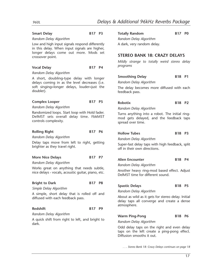A dark, very random delay.

#### Smart Delay **B17 P3**

#### *Random Delay Algorithm*

Low and high input signals respond differently in this delay. When input signals are higher, longer delays come out more. Mods set crossover point.

#### Vocal Delay **B17 P4**

#### *Random Delay Algorithm*

A short, doubling-type delay with longer delays coming in as the level decreases (i.e. soft singing=longer delays, louder=just the doubler).

#### Complex Looper B17 P5

*Random Delay Algorithm*

Randomized loops. Start loop with Hold fader. DelMST sets overall delay time. FbkMST controls complexity.

#### **Rolling Right B17 P6**

*Random Delay Algorithm*

Delay taps move from left to right, getting brighter as they travel right.

#### More Nice Delays B17 P7

*Random Delay Algorithm*

Works great on anything that needs subtle, nice delays - vocals, acoustic guitar, piano, etc.

#### **Bright to Dark B17 P8**

*Simple Delay Algorithm*

A simple, short delay that is rolled off and diffused with each feedback pass.

#### Redshift **B17 P9**

*Random Delay Algorithm* A quick shift from right to left, and bright to dark.

Totally Random B17 P0 *Random Delay Algorithm*

**STEREO BANK 18: CRAZY DELAYS**

*Mildly strange to totally weird stereo delay programs*

#### **Smoothing Delay 618 P1**

*Random Delay Algorithm*

The delay becomes more diffused with each feedback pass.

#### **Robotix B18 P2**

*Random Delay Algorithm*

Turns anything into a robot. The initial ringmod gets delayed, and the feedback taps spread over time.

#### **Hollow Tubes B18 P3**

*Random Delay Algorithm*

Super-fast delay taps with high feedback, split off in their own directions.

#### Alien Encounter **B18 P4**

*Random Delay Algorithm*

Another heavy ring-mod based effect. Adjust DelMST time for different sound.

#### Spastic Delays B18 P5

*Random Delay Algorithm*

About as wild as it gets for stereo delay. Initial delay taps all converge and create a dense atmosphere.

#### Warm Ping-Pong B18 P6

*Random Delay Algorithm*

Odd delay taps on the right and even delay taps on the left create a ping-pong effect. Diffusion smooths it out.

*. . . Stereo Bank 18: Crazy Delays continues on page 18*

17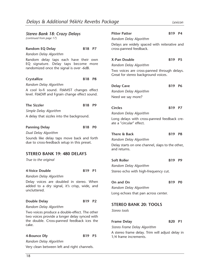| <b>Stereo Bank 18: Crazy Delays</b>                                                            |               |  | <b>Pitter Patter</b>                                                               | B19 P4        |                |  |  |  |
|------------------------------------------------------------------------------------------------|---------------|--|------------------------------------------------------------------------------------|---------------|----------------|--|--|--|
| (continued from page 17)                                                                       |               |  | Random Delay Algorithm                                                             |               |                |  |  |  |
| <b>Random EQ Delay</b>                                                                         | B18 P7        |  | Delays are widely spaced with reiterative and<br>cross-panned feedback.            |               |                |  |  |  |
| Random Delay Algorithm                                                                         |               |  |                                                                                    |               |                |  |  |  |
| Random delay taps each have their own<br>EQ signature. Delay taps become more                  |               |  | X-Pan Double                                                                       | B19 P5        |                |  |  |  |
| randomized once the signal is over -6dB.                                                       |               |  | Random Delay Algorithm                                                             |               |                |  |  |  |
|                                                                                                |               |  | Two voices are cross-panned through delays.<br>Great for stereo background voices. |               |                |  |  |  |
| Crystallize                                                                                    | <b>B18 P8</b> |  |                                                                                    |               |                |  |  |  |
| Random Delay Algorithm                                                                         |               |  | <b>Delay Cave</b>                                                                  | <b>B19</b>    | <b>P6</b>      |  |  |  |
| A cool lo-fi sound. FbkMST changes effect<br>level. FbkDiff and Fgrain change effect sound.    |               |  | Random Delay Algorithm                                                             |               |                |  |  |  |
|                                                                                                |               |  | Need we say more?                                                                  |               |                |  |  |  |
|                                                                                                |               |  |                                                                                    |               |                |  |  |  |
| <b>The Sizzler</b>                                                                             | B18 P9        |  | <b>Circles</b>                                                                     | B19 P7        |                |  |  |  |
| Simple Delay Algorithm                                                                         |               |  | Random Delay Algorithm                                                             |               |                |  |  |  |
| A delay that sizzles into the background.                                                      |               |  | Long delays with cross-panned feedback cre-                                        |               |                |  |  |  |
|                                                                                                |               |  | ate a "circular" effect.                                                           |               |                |  |  |  |
| <b>Panning Delay</b>                                                                           | B18 P0        |  |                                                                                    |               |                |  |  |  |
| Dual Delay Algorithm                                                                           |               |  | There & Back                                                                       | B19 P8        |                |  |  |  |
| Sounds like delay taps move back and forth<br>due to cross-feedback setup in this preset.      |               |  | Random Delay Algorithm                                                             |               |                |  |  |  |
|                                                                                                |               |  | Delay starts on one channel, slaps to the other,<br>and returns.                   |               |                |  |  |  |
| <b>STEREO BANK 19: 480 DELAYS</b>                                                              |               |  |                                                                                    |               |                |  |  |  |
| True to the original                                                                           |               |  | <b>Soft Roller</b>                                                                 | <b>B19</b>    | P <sub>9</sub> |  |  |  |
|                                                                                                |               |  | Random Delay Algorithm                                                             |               |                |  |  |  |
| 4-Voice Double                                                                                 | B19 P1        |  | Stereo echo with high-frequency cut.                                               |               |                |  |  |  |
| Random Delay Algorithm                                                                         |               |  |                                                                                    |               |                |  |  |  |
| Delay voices are doubled in stereo. When                                                       |               |  | On and On                                                                          | B19           | P <sub>0</sub> |  |  |  |
| added to a dry signal, it's crisp, wide, and                                                   |               |  | Random Delay Algorithm                                                             |               |                |  |  |  |
| uncluttered.                                                                                   |               |  | Long echoes that pan across center.                                                |               |                |  |  |  |
|                                                                                                |               |  |                                                                                    |               |                |  |  |  |
| <b>Double Delay</b>                                                                            | B19 P2        |  | <b>STEREO BANK 20: TOOLS</b>                                                       |               |                |  |  |  |
| Random Delay Algorithm                                                                         |               |  | Stereo tools                                                                       |               |                |  |  |  |
| Two voices produce a double-effect. The other<br>two voices provide a longer delay synced with |               |  |                                                                                    |               |                |  |  |  |
| the double. Cross-panned feedback ices the                                                     |               |  | <b>Frame Delay</b>                                                                 | <b>B20 P1</b> |                |  |  |  |
| cake.                                                                                          |               |  | Stereo Frame Delay Algorithm                                                       |               |                |  |  |  |
|                                                                                                |               |  | A stereo frame delay. Trim will adjust delay in                                    |               |                |  |  |  |
| 4-Bounce Dly                                                                                   | B19 P3        |  | 1/4 frame increments.                                                              |               |                |  |  |  |
| Random Delay Algorithm                                                                         |               |  |                                                                                    |               |                |  |  |  |

Very clean between left and right channels.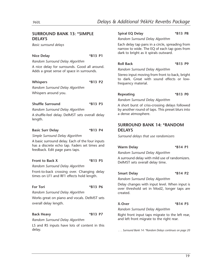#### **SURROUND BANK 13: \*SIMPLE DELAYS**

*Basic surround delays*

#### **Nice Delay \*B13 P1**

*Random Surround Delay Algorithm*

A nice delay for surrounds. Good all around. Adds a great sense of space in surrounds.

#### **Whispers \*B13 P2**

*Random Surround Delay Algorithm* Whispers around you.

#### **Shuffle Surround \*B13 P3**

*Random Surround Delay Algorithm*

A shuffle-feel delay. DelMST sets overall delay length.

#### **Basic Surr Delay \*B13 P4**

*Simple Surround Delay Algorithm*

A basic surround delay. Each of the four inputs has a discrete echo tap. Faders set times and feedback. Edit page pans taps.

#### **Front to Back X \*B13 P5**

*Random Surround Delay Algorithm*

Front-to-back crossing over. Changing delay times on LF1 and RF1 effects hold length.

#### **For Tori \*B13 P6**

*Random Surround Delay Algorithm*

Works great on piano and vocals. DelMST sets overall delay length.

#### **Back Heavy \*B13 P7**

*Random Surround Delay Algorithm*

LS and RS inputs have lots of content in this delay.

#### **Spiral EQ Delay \*B13 P8**

*Random Surround Delay Algorithm*

Each delay tap pans in a circle, spreading from narrow to wide. The EQ of each tap goes from dark to bright as it spirals outward.

#### **Roll Back \*B13 P9**

*Random Surround Delay Algorithm*

Stereo input moving from front to back, bright to dark. Great with sound effects or lowfrequency material.

#### Repeating **\*B13 P0**

*Random Surround Delay Algorithm*

A short burst of criss-crossing delays followed by another round of taps. This preset blurs into a dense atmosphere.

#### **SURROUND BANK 14: \*RANDOM DELAYS**

*Surround delays that use randomizers*

#### **Warm Delay \*B14 P1**

*Random Surround Delay Algorithm*

A surround delay with mild use of randomizers. DelMST sets overall delay time.

#### **Smart Delay \*B14 P2**

*Random Surround Delay Algorithm*

Delay changes with input level. When input is over threshold set in Mod2, longer taps are created.

#### **X-Over \*B14 P3**

*Random Surround Delay Algorithm*

Right front input taps migrate to the left rear, and left front migrate to the right rear.

*. . . Surround Bank 14: \*Random Delays continues on page 20*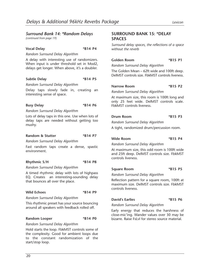#### *Surround Bank 14: \*Random Delays*

*(continued from page 19)*

#### **Vocal Delay \*B14 P4**

*Random Surround Delay Algorithm*

A delay with interesting use of randomizers. When input is under threshold set in Mod2, delays get longer. When above, it's a doubler.

#### **Subtle Delay \*B14 P5**

*Random Surround Delay Algorithm*

Delay taps slowly fade in, creating an interesting sense of space.

#### **Busy Delay \*B14 P6**

*Random Surround Delay Algorithm*

Lots of delay taps in this one. Use when lots of delay taps are needed without getting too mushy.

#### **Random & Stutter \*B14 P7**

*Random Surround Delay Algorithm*

Fast random taps create a dense, spastic environment.

#### **Rhythmic S/H \*B14 P8**

*Random Surround Delay Algorithm*

A timed rhythmic delay with lots of highpass EQ. Creates an interesting-sounding delay that bounces all over the place.

#### Wild Echoes **\*B14 P9**

*Random Surround Delay Algorithm*

This rhythmic preset has your source bouncing around all speakers with feedback rolled off.

#### **Random Looper \*B14 P0**

#### *Random Surround Delay Algorithm*

Hold starts the loop. FbkMST controls some of the complexity. Good for ambient loops due to the constant randomization of the start/stop loop.

#### **SURROUND BANK 15: \*DELAY SPACES**

*Surround delay spaces, the reflections of a space without the reverb*

#### **Golden Room \*B15 P1**

*Random Surround Delay Algorithm*

The Golden Mean – 62ft wide and 100ft deep. DelMST controls size. FbkMST controls liveness.

#### Narrow Room \*B15 P2

*Random Surround Delay Algorithm*

At maximum size, this room is 100ft long and only 25 feet wide. DelMST controls scale. FbkMST controls liveness.

#### **Drum Room \*B15 P3**

*Random Surround Delay Algorithm*

A tight, randomized drum/percussion room.

#### Wide Room  $*B15$  P4

*Random Surround Delay Algorithm*

At maximum size, this odd room is 100ft wide and 25ft deep. DelMST controls size. FbkMST controls liveness.

#### **Square Room \*B15 P5**

*Random Surround Delay Algorithm*

Reflection pattern for a square room, 100ft at maximum size. DelMST controls size. FbkMST controls liveness.

#### **David's Earlies \*B15 P6**

*Random Surround Delay Algorithm*

Early energy that reduces the harshness of close-mic'ing. Wander values over 30 may be bizarre. Raise FsLvl for stereo source material.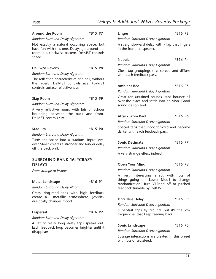#### **Around the Room \*B15 P7**

#### *Random Surround Delay Algorithm*

Not exactly a natural occurring space, but have fun with this one. Delays go around the room in a clockwise pattern. DelMST controls speed.

#### **Hall w/o Reverb \*B15 P8**

*Random Surround Delay Algorithm*

The reflection characteristics of a hall, without the reverb. DelMST controls size. FbkMST controls surface reflectiveness.

#### **Slap Room \*B15 P9**

*Random Surround Delay Algorithm*

A very reflective room, with lots of echoes bouncing between the back and front. DelMST controls size.

#### **Stadium \*B15 P0**

*Random Surround Delay Algorithm*

Turns the space into a stadium. Input level over Mod2 creates a stronger and longer delay off the back wall.

#### **SURROUND BANK 16: \*CRAZY DELAYS**

*From strange to insane*

#### **Metal Landscape \*B16 P1**

*Random Surround Delay Algorithm*

Crazy ring-mod taps with high feedback create a metallic atmosphere. Joystick drastically changes mood.

#### **Dispersal \*B16 P2**

*Random Surround Delay Algorithm*

A set of really long delay taps spread out. Each feedback loop becomes brighter until it disappears.

#### **Linger \*B16 P3**

*Random Surround Delay Algorithm*

A straightforward delay with a tap that lingers in the front left speaker.

#### **Nebula \*B16 P4**

*Random Surround Delay Algorithm*

Close tap groupings that spread and diffuse with each feedback pass.

#### **Ambient Bed \*B16 P5**

*Random Surround Delay Algorithm*

Great for sustained sounds, taps bounce all over the place and settle into oblivion. Good sound design tool.

#### **Attack From Back \*B16 P6**

*Random Surround Delay Algorithm*

Spaced taps that shoot forward and become darker with each feedback pass.

#### **Sonic Decimate \*B16 P7**

*Random Surround Delay Algorithm*

A very strange effect indeed.

#### **Open Your Mind \*B16 P8**

*Random Surround Delay Algorithm*

A very interesting effect with lots of things going on. Lower Mod1 to change randomization. Turn V1Rand off or pitched feedback tunable by DelMST.

#### **Dark Hue Delay \*B16 P9**

*Random Surround Delay Algorithm*

Super-fast taps fly around, but it's the low frequencies that keep feeding back.

#### **Sonic Landscape \*B16 P0**

*Random Surround Delay Algorithm*

Strange interactions are created in this preset with lots of crossfeed.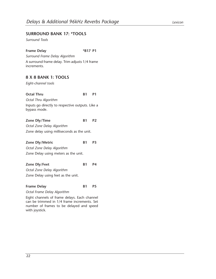#### **SURROUND BANK 17: \*TOOLS**

*Surround Tools*

#### **Frame Delay \*B17 P1**

*Surround Frame Delay Algorithm* A surround frame delay. Trim adjusts 1/4 frame increments.

#### **8 X 8 BANK 1: TOOLS**

*Eight-channel tools*

#### **Octal Thru B1 P1** *Octal Thru Algorithm*

Inputs go directly to respective outputs. Like a bypass mode.

#### **Zone Dly/Time B1 P2**

*Octal Zone Delay Algorithm* Zone delay using milliseconds as the unit.

| Zone Dly/Metric                      | <b>B1</b> | <b>P3</b> |
|--------------------------------------|-----------|-----------|
| Octal Zone Delay Algorithm           |           |           |
| Zone Delay using meters as the unit. |           |           |

#### **Zone Dly/Feet B1 P4**

*Octal Zone Delay Algorithm*

Zone Delay using feet as the unit.

#### Frame Delay B1 P5

#### *Octal Frame Delay Algorithm*

Eight channels of frame delays. Each channel can be trimmed in 1/4 frame increments. Set number of frames to be delayed and speed with joystick.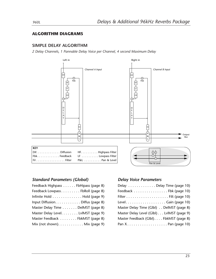#### **ALGORITHM DIAGRAMS**

#### **SIMPLE DELAY ALGORITHM**

*2 Delay Channels, 1 Pannable Delay Voice per Channel, 4 second Maximum Delay*



#### *Standard Parameters (Global)*

| Feedback Highpass FbHipass (page 8)               |  |
|---------------------------------------------------|--|
| Feedback Lowpass FbRoll (page 8)                  |  |
| Infinite Hold Hold (page 9)                       |  |
| Input Diffusion. Diffus (page 8)                  |  |
| Master Delay Time DelMST (page 8)                 |  |
| Master Delay Level. LvIMST (page 9)               |  |
| Master Feedback FbkMST (page 8)                   |  |
| Mix (not shown). $\dots \dots \dots$ Mix (page 9) |  |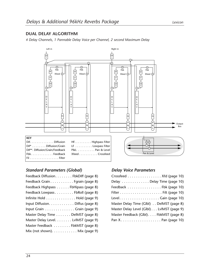#### **DUAL DELAY ALGORITHM**

*4 Delay Channels, 1 Pannable Delay Voice per Channel, 2 second Maximum Delay*



#### *Standard Parameters (Global)*

| Feedback Diffusion. FbkDiff (page 8) |
|--------------------------------------|
| Feedback Grain Fgrain (page 8)       |
| Feedback Highpass FbHipass (page 8)  |
| Feedback Lowpass FbRoll (page 8)     |
| Infinite Hold Hold (page 9)          |
| Input Diffusion. Diffus (page 8)     |
| Input Grain Grain (page 9)           |
| Master Delay Time DelMST (page 8)    |
| Master Delay Level. LvIMST (page 9)  |
| Master Feedback FbkMST (page 8)      |
| Mix (not shown). Mix (page 9)        |

| Crossfeed Xfd (page 10)                   |
|-------------------------------------------|
| Delay Delay Time (page 10)                |
| Feedback Fbk (page 10)                    |
|                                           |
|                                           |
| Master Delay Time (Glbl) DelMST (page 8)  |
| Master Delay Level (Glbl) LvlMST (page 9) |
| Master Feedback (Glbl). FbkMST (page 8)   |
|                                           |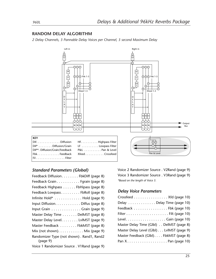#### **RANDOM DELAY ALGORITHM**

*2 Delay Channels, 3 Pannable Delay Voices per Channel, 3 second Maximum Delay*



#### *Standard Parameters (Global)*

Voice 2 Randomizer Source . V2Rand (page 9) Voice 3 Randomizer Source . V3Rand (page 9) *\*Based on the length of Voice 3.*

| Crossfeed Xfd (page 10)                   |
|-------------------------------------------|
| Delay Delay Time (page 10)                |
| Feedback Fbk (page 10)                    |
|                                           |
|                                           |
| Master Delay Time (Glbl) DelMST (page 8)  |
| Master Delay Level (Glbl) LvlMST (page 9) |
| Master Feedback (Glbl). FbkMST (page 8)   |
|                                           |
|                                           |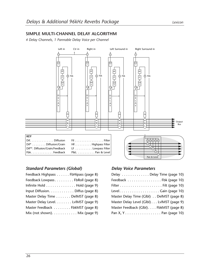#### **SIMPLE MULTI-CHANNEL DELAY ALGORITHM**

*4 Delay Channels, 1 Pannable Delay Voice per Channel*



#### *Standard Parameters (Global)*

| Feedback Highpass FbHipass (page 8) |  |
|-------------------------------------|--|
| Feedback Lowpass FbRoll (page 8)    |  |
| Infinite Hold Hold (page 9)         |  |
| Input Diffusion. Diffus (page 8)    |  |
| Master Delay Time DelMST (page 8)   |  |
| Master Delay Level. LvIMST (page 9) |  |
| Master Feedback FbkMST (page 8)     |  |
| Mix (not shown). Mix (page 9)       |  |

| Delay Delay Time (page 10)                |  |
|-------------------------------------------|--|
| Feedback Fbk (page 10)                    |  |
|                                           |  |
| Level. Gain (page 10)                     |  |
| Master Delay Time (Glbl) DelMST (page 8)  |  |
| Master Delay Level (Glbl) LvlMST (page 9) |  |
| Master Feedback (Glbl). FbkMST (page 8)   |  |
| Pan X, YPan (page 10)                     |  |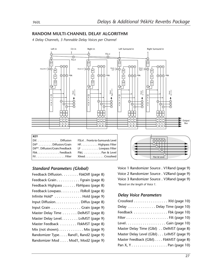#### **RANDOM MULTI-CHANNEL DELAY ALGORITHM**

*4 Delay Channels, 3 Pannable Delay Voices per Channel*



| $\vert$ Dif. Diffusion                                      |
|-------------------------------------------------------------|
| $ \text{Diff}^* \dots \dots \text{Diffusion}/\text{Grain} $ |
| Dif**. Diffusion/Grain/Feedback                             |
| FbkFeedback                                                 |
| $ $ Fil $\ldots \ldots \ldots \ldots \ldots$ . Filter       |

| FSLvl. . Fronts-to-Surrounds Level                             |
|----------------------------------------------------------------|
| $\mathsf{HF} \ldots \ldots \ldots \mathsf{Highpass \; Filter}$ |
| LF Lowpass Filter                                              |
| $P\&L \ldots \ldots \ldots P$ an & Level                       |
| $X$ feed $\ldots \ldots \ldots$ Crossfeed                      |



#### *Standard Parameters (Global)*

| Feedback Diffusion. FbkDiff (page 8)              |
|---------------------------------------------------|
| Feedback Grain. Fgrain (page 8)                   |
| Feedback Highpass FbHipass (page 8)               |
| Feedback Lowpass FbRoll (page 8)                  |
| Infinite Hold* Hold (page 9)                      |
| Input Diffusion. Diffus (page 8)                  |
| Input Grain Grain (page 9)                        |
| Master Delay Time DelMST (page 8)                 |
| Master Delay Level. LvIMST (page 9)               |
| Master Feedback FbkMST (page 8)                   |
| Mix (not shown). $\dots \dots \dots$ Mix (page 9) |
| Randomizer Type Rand1, Rand2 (page 9)             |
| Randomizer Mod Mod1, Mod2 (page 9)                |

Voice 1 Randomizer Source . V1Rand (page 9) Voice 2 Randomizer Source . V2Rand (page 9) Voice 3 Randomizer Source . V3Rand (page 9) *\*Based on the length of Voice 1.*

| Crossfeed Xfd (page 10)                   |
|-------------------------------------------|
| Delay Delay Time (page 10)                |
| Feedback Fbk (page 10)                    |
|                                           |
| LevelGain (page 10)                       |
| Master Delay Time (Glbl) DelMST (page 8)  |
| Master Delay Level (Glbl) LvlMST (page 9) |
| Master Feedback (Glbl) FbkMST (page 8)    |
| Pan X, YPan (page 10)                     |
|                                           |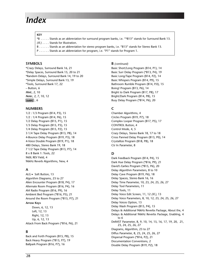## *Index*

#### **KEY**

\*B . . . . . Stands as an abbreviation for surround program banks, i.e. "\*B13" stands for Surround Bank 13.

*(Ill.)* . . . . Stands for Illustration.

- B . . . . . . Stands as an abbreviation for stereo program banks, i.e. "B13" stands for Stereo Bank 13.
- P . . . . . . Stands as an abbreviation for program, i.e. "P1" stands for Program 1.

#### **SYMBOLS**

\*Crazy Delays, Surround Bank 16, 21 \*Delay Spaces, Surround Bank 15, 20 to 21 \*Random Delays, Surround Bank 14, 19 to 20 \*Simple Delays, Surround Bank 13, 19 \*Tools, Surround Bank 17, 22 – Button, 6 *Hint:*, 2, 10 *Note:*, 2, 7, 10, 12  $(\overline{\text{save}})$ , 6

#### **NUMBERS**

1/2 : 1/3 Program (B14, P3), 15 1/2 : 1/4 Program (B14, P6), 15 1/2 Delay Program (B15, P1), 15 1/3 Delay Program (B15, P3), 15 1/4 Delay Program (B15, P2), 15 3 1/4 Tape Delay Program (B13, P8), 14 4-Bounce Delay Program (B19, P3), 18 4-Voice Double Program (B19, P1), 18 480 Delays, Stereo Bank 19, 18 7 1/2 Tape Delay Program (B13, P7), 14 8 x 8 Bank 1: Tools, 22 960L REV Field, 4 96kHz Reverb Algorithms, New, 4

#### **A**

ALG Soft Button, 13 Algorithm Diagrams, 23 to 27 Alien Encounter Program (B18, P4), 17 Alternate Room Program (B16, P4), 16 AM Radio Program (B16, P9), 16 Ambient Bed Program (\*B16, P5), 21 Around the Room Program (\*B15, P7), 21 **Arrow Keys** Down, 6, 12, 13 Left, 12, 13 Right, 12, 13

Up, 6, 12, 13 Attack From Back Program (\*B16, P6), 21

#### **B**

Back and Forth Program (B15, P8), 15 Back Heavy Program (\*B13, P7), 19 Ballpark Program (B16, P7), 16

#### **B** *(continued)*

Basic Short/Long Program (B14, P1), 14 Basic Surr Delay Program (\*B13, P4), 19 Basic Long/Tape Program (B14, P2), 14 Basic Whispers Program (B14, P9), 15 Bathroom Rumble Program (B14, P.0), 15 Boing! Program (B13, P6), 14 Bright to Dark Program (B17, P8), 17 Bright/Dark Program (B14, P8), 15 Busy Delay Program (\*B14, P6), 20

#### **C**

Chamber Algorithms, 4 Circles Program (B19, P7), 18 Complex Looper Program (B17, P5), 17 CONTROL Button, 4 Control Mode, 4, 5 Crazy Delays, Stereo Bank 18, 17 to 18 Cross Panned Delay Program (B13, P0), 14 Crystallize Program (B18, P8), 18 Ctr In Parameter, 8

#### **D**

Dark Feedback Program (B14, P4), 15 Dark Hue Delay Program (\*B16, P9), 21 David's Earlies Program (\*B15, P6), 20 Delay Algorithm Parameters, 8 to 10 Delay Cave Program (B19, P6), 18 Delay Spaces, Stereo Bank 16, 16 Delay Time Parameter, 10, 23, 24, 25, 26, 27 Delay Tool Parameters, 11 Delay Tools, 11 Delay Voice Edit Screen, 11, 12 *(Ill.)*, 13 Delay Voice Parameters, 8, 10, 12, 23, 24, 25, 26, 27 Delay Voices Option, 13 Delay Wash Program (B15, P4), 15 Delays & Additional 96kHz Reverbs Package, About the, 4 Delays & Additional 96kHz Reverbs Package, Enabling, 4 to 6 DelMST Parameter, 8, 9, 10, 14, 15, 16, 17, 19, 20, 21, 23, 24, 25, 26, 27 Diagrams, Algorithm, 23 to 27 Diffus Parameter, 8, 23, 24, 25, 26, 27 Dispersal Program (\*B16, P2), 21 Documentation Conventions, 2 Double Delay Program (B19, P2), 18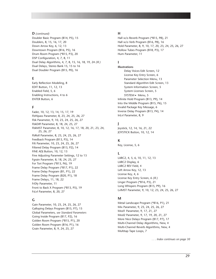#### **D** *(continued)*

Doubler Basic Program (B14, P5), 15 Doublers, 8, 15, 16, 17, 20 Down Arrow Key, 6, 12, 13 Downtown Program (B16, P5), 16 Drum Room Program (\*B15, P3), 20 DSP Configuration, 4, 7, 8, 11 Dual Delay Algorithms, 4, 7, 8, 15, 16, 18, 19, 24 *(Ill.)* Dual Delays, Stereo Bank 15, 15 to 16 Dual Doubler Program (B15, P0), 16

#### **E**

Early Reflection Modeling, 8 EDIT Button, 11, 12, 13 Enabled Field, 5, 6 Enabling Instructions, 4 to 6 ENTER Button, 6

#### **F**

Fader, 10, 12, 13, 14, 15, 17, 19 FbHipass Parameter, 8, 23, 24, 25, 26, 27 Fbk Parameter, 9, 10, 23, 24, 25, 26, 27 FbkDiff Parameter, 8, 18, 24, 25, 27 FbkMST Parameter, 8, 10, 12, 16, 17, 18, 20, 21, 23, 24, 25, 26, 27 FbRoll Parameter, 8, 23, 24, 25, 26, 27 Feedback Program (B13, P5), 14 Filt Parameter, 10, 23, 24, 25, 26, 27 Filtered Delay Program (B13, P2), 14 FINE ADJ Button, 10, 12, 13 Fine Adjusting Parameter Settings, 12 to 13 Fgrain Parameter, 8, 18, 24, 25, 27 For Tori Program (\*B13, P6), 19 Frame Delay Program (\*B17, P1), 22 Frame Delay Program (B1, P1), 22 Frame Delay Program (B20, P1), 18 Frame Delays, 11, 18, 22 FrDly Parameter, 11 Front to Back X Program (\*B13, P5), 19 FsLvl Parameter, 8, 20, 27

#### **G**

Gain Parameter, 10, 23, 24, 25, 26, 27 Galloping Delays Program (B15, P7), 15 Global Parameters, *see Standard Parameters* Going Inside Program (B17, P2), 16 Golden Room Program (\*B15, P1), 20 Golden Room Program (B16, P1), 16 Grain Parameter, 8, 9, 24, 25, 27

#### **H**

Hall w/o Reverb Program (\*B15, P8), 21 Hall w/o Verb Program (B16, P8), 16 Hold Parameter, 8, 9, 10, 17, 20, 23, 24, 25, 26, 27 Hollow Tubes Program (B18, P3), 17 Hum Parameter, 11

#### **I**

**Illustrations** Delay Voices Edit Screen, 12 License Key Entry Screen, 6 Parameter Selection Menu, 13 Standard Algorithm Edit Screen, 13 System Information Screen, 5 System Licenses Screen, 5 SYSTEM - Menu, 5 Infinite Hold Program (B13, P9), 14 Into the Middle Program (B15, P6), 15 Invalid Package Key Message, 6 Inverse Delay Program (B13, P4), 14 InLvl Parameter, 8, 9

#### **J**

Joystick, 12, 14, 16, 21, 22 JOYSTICK Button, 10, 12, 14

#### **K**

Key, License, 5, 6

#### **L**

LARC2, 4, 5, 6, 10, 11, 12, 13 LARC2 Display, 6 LARC2 REV Field, 4 Left Arrow Key, 12, 13 License Key, 4, 6 License Key Entry Screen, 6 *(Ill.)* Linger Program (\*B16, P3), 21 Long Whispers Program (B15, P9), 16 LvlMST Parameter, 9, 10, 12, 23, 24, 25, 26, 27

#### **M**

Metal Landscape Program (\*B16, P1), 21 Mix Parameter, 9, 23, 24, 25, 26, 27 Mod1 Parameter, 9, 17, 21, 27 Mod2 Parameter, 9, 17, 19, 20, 21, 27 More Nice Delays Program (B17, P7), 17 Multi-Channel Delay Algorithms, New, 4 Multi-Channel Reverb Algorithms, New, 4 Multitap Tape Loops, 7

*. . . Index continues on page 30*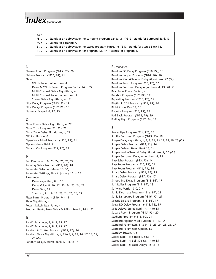### *Index(continued)*

#### **KEY**

\*B . . . . . Stands as an abbreviation for surround program banks, i.e. "\*B13" stands for Surround Bank 13. *(Ill.)* . . . . Stands for Illustration. B . . . . . . Stands as an abbreviation for stereo program banks, i.e. "B13" stands for Stereo Bank 13.

- 
- P . . . . . . Stands as an abbreviation for program, i.e. "P1" stands for Program 1.

#### **N**

Narrow Room Program (\*B15, P2), 20 Nebula Program (\*B16, P4), 21 **New** 96kHz Reverb Algorithms, 4 Delay & 96kHz Reverb Program Banks, 14 to 22 Multi-Channel Delay Algorithms, 4 Multi-Channel Reverb Algorithms, 4 Stereo Delay Algorithms, 4, 17 Nice Delay Program (\*B13, P1), 19 Nice Delays Program (B17, P1), 16

#### **O**

Octal Frame Delay Algorithms, 4, 22 Octal Thru Program (B1, P1), 22 Octal Zone Delay Algorithms, 4, 22 OK Soft Button, 6 Open Your Mind Program (\*B16, P8), 21 Option Name Field, 5 On and On Program (B19, P0), 18

Numeric Keypad, 6, 12, 13

#### **P**

Pan Parameter, 10, 23, 24, 25, 26, 27 Panning Delay Program (B18, P0), 18 Parameter Selection Menu, 13 *(Ill.)* Parameter Settings, Fine Adjusting, 12 to 13 **Parameters** Delay Algorithm, 8 to 10 Delay Voice, 8, 10, 12, 23, 24, 25, 26, 27 Delay Tool, 11 Standard, 8 to 9, 13, 23, 24, 25, 26, 27 Pitter Patter Program (B19, P4), 18 Plate Algorithms, 4 Power Switch, Rear Panel, 4 Program Banks, New Delay & 96kHz Reverb, 14 to 22

#### **R**

Rand1 Parameter, 7, 8, 9, 25, 27 Rand2 Parameter, 7, 8, 9, 25, 27 Random & Stutter Program (\*B14, P7), 20 Random Delay Algorithms, 4, 7 to 8, 9, 15, 16, 17, 18, 19, 25 *(Ill.)* Random Delays, Stereo Bank 17, 16 to 17

#### **R** *(continued)*

Random EQ Delay Program (B18, P7), 18 Random Looper Program (\*B14, P0), 20 Random Multi-Channel Delay Algorithms, 27 *(Ill.)* Random Room Program (B16, P0), 16 Random Surround Delay Algorithms, 4, 19, 20, 21 Rear Panel Power Switch, 4 Redshift Program (B17, P9), 17 Repeating Program (\*B13, P0), 19 Rhythmic S/H Program (\*B14, P8), 20 Right Arrow Key, 12, 13 Robotix Program (B18, P2), 17 Roll Back Program (\*B13, P9), 19 Rolling Right Program (B17, P6), 17

#### **S**

Sewer Pipe Program (B16, P6), 16 Shuffle Surround Program (\*B13, P3), 19 Simple Delay Algorithms, 4, 7, 8, 14, 15, 17, 18, 19, 23 *(Ill.)* Simple Delay Program (B13, P1), 14 Simple Delays, Stereo Bank 13, 14 Simple Multi-Channel Delay Algorithms, 7, 26 *(Ill.)* Simple Surround Delay Algorithms, 4, 19 Slap Echo Program (B13, P3), 14 Slap Room Program (\*B15, P9), 21 Slap Room Program (B16, P3), 16 Smart Delay Program (\*B14, P2), 19 Smart Delay Program (B17, P3), 17 Smoothing Delay Program (B18, P1), 17 Soft Roller Program (B19, P9), 18 Software Version 3.0, 2, 4 Sonic Decimate Program (\*B16, P7), 21 Sonic Landscape Program (\*B16, P0), 21 Spastic Delays Program (B18, P5), 17 Spiral EQ Delay Program (\*B13, P8), 19 Split Delays, Stereo Bank 14, 14 to 15 Square Room Program (\*B15, P5), 20 Stadium Program (\*B15, P0), 21 Standard Algorithm Edit Screen, 11, 13 *(Ill.)* Standard Parameters, 8 to 9, 13, 23, 24, 25, 26, 27 Standard Parameters Option, 13 Standby Button, 4, 6 Stereo Bank 13: Simple Delays, 14 Stereo Bank 14: Split Delays, 14 to 15 Stereo Bank 15: Dual Delays, 15 to 16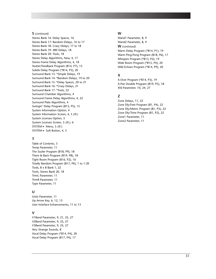#### **S** *(continued)*

Stereo Bank 16: Delay Spaces, 16 Stereo Bank 17: Random Delays, 16 to 17 Stereo Bank 18: Crazy Delays, 17 to 18 Stereo Bank 19: 480 Delays, 18 Stereo Bank 20: Tools, 18 Stereo Delay Algorithms, New, 4, 17 Stereo Frame Delay Algorithms, 4, 18 Stutter/Feedback Program (B14, P7), 15 Subtle Delay Program (\*B14, P5), 20 Surround Bank 13: \*Simple Delays, 19 Surround Bank 14: \*Random Delays, 19 to 20 Surround Bank 15: \*Delay Spaces, 20 to 21 Surround Bank 16: \*Crazy Delays, 21 Surround Bank 17: \*Tools, 22 Surround Chamber Algorithms, 4 Surround Frame Delay Algorithms, 4, 22 Surround Plate Algorithms, 4 Swingin' Delay Program (B15, P5), 15 System Information Option, 4 System Information Screen, 4, 5 *(Ill.)* System Licenses Option, 5 System Licenses Screen, 5 *(Ill.)*, 6 SYSTEM <del>v</del> Menu, 5 *(Ill.)* SYSTEM · Soft Button, 4, 5

#### **T**

Table of Contents, 3 Temp Parameter, 11 The Sizzler Program (B18, P9), 18 There & Back Program (B19, P8), 18 Tight Room Program (B16, P2), 16 Totally Random Program (B17, P0), 1 to 1-20 Tools, 8 x 8 Bank 1, 22 Tools, Stereo Bank 20, 18 TrimL Parameter, 11 TrimR Parameter, 11 Type Parameter, 11

#### **U**

Units Parameter, 11 Up Arrow Key, 6, 12, 13 User Interface Enhancements, 11 to 13

#### **V**

V1Rand Parameter, 9, 21, 25, 27 V2Rand Parameter, 9, 25, 27 V3Rand Parameter, 9, 25, 27 Very Strange Sounds, 8 Vocal Delay Program (\*B14, P4), 20 Vocal Delay Program (B17, P4), 17

#### **W**

Wand1 Parameter, 8, 9 Wand2 Parameter, 8, 9 **W** *(continued)* Warm Delay Program (\*B14, P1), 19 Warm Ping-Pong Program (B18, P6), 17 Whispers Program (\*B13, P2), 19 Wide Room Program (\*B15, P4), 20 Wild Echoes Program (\*B14, P9), 20

#### **X**

X-Over Program (\*B14, P3), 19 X-Pan Double Program (B19, P5), 18 Xfd Parameter, 10, 24, 27

#### **Z**

Zone Delays, 11, 22 Zone Dly/Feet Program (B1, P4), 22 Zone Dly/Metric Program (B1, P3), 22 Zone Dly/Time Program (B1, P2), 22 Zone1 Parameter, 11 Zone2 Parameter, 11